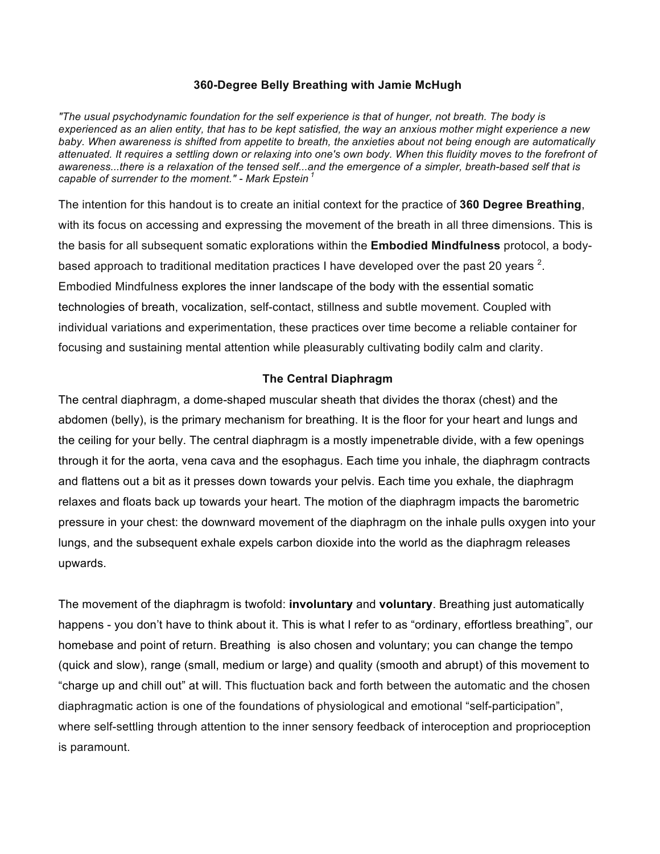#### **360-Degree Belly Breathing with Jamie McHugh**

*"The usual psychodynamic foundation for the self experience is that of hunger, not breath. The body is experienced as an alien entity, that has to be kept satisfied, the way an anxious mother might experience a new baby. When awareness is shifted from appetite to breath, the anxieties about not being enough are automatically attenuated. It requires a settling down or relaxing into one's own body. When this fluidity moves to the forefront of awareness...there is a relaxation of the tensed self...and the emergence of a simpler, breath-based self that is capable of surrender to the moment." - Mark Epstein <sup>1</sup>*

The intention for this handout is to create an initial context for the practice of **360 Degree Breathing**, with its focus on accessing and expressing the movement of the breath in all three dimensions. This is the basis for all subsequent somatic explorations within the **Embodied Mindfulness** protocol, a bodybased approach to traditional meditation practices I have developed over the past 20 years  $^2$ . Embodied Mindfulness explores the inner landscape of the body with the essential somatic technologies of breath, vocalization, self-contact, stillness and subtle movement. Coupled with individual variations and experimentation, these practices over time become a reliable container for focusing and sustaining mental attention while pleasurably cultivating bodily calm and clarity.

### **The Central Diaphragm**

The central diaphragm, a dome-shaped muscular sheath that divides the thorax (chest) and the abdomen (belly), is the primary mechanism for breathing. It is the floor for your heart and lungs and the ceiling for your belly. The central diaphragm is a mostly impenetrable divide, with a few openings through it for the aorta, vena cava and the esophagus. Each time you inhale, the diaphragm contracts and flattens out a bit as it presses down towards your pelvis. Each time you exhale, the diaphragm relaxes and floats back up towards your heart. The motion of the diaphragm impacts the barometric pressure in your chest: the downward movement of the diaphragm on the inhale pulls oxygen into your lungs, and the subsequent exhale expels carbon dioxide into the world as the diaphragm releases upwards.

The movement of the diaphragm is twofold: **involuntary** and **voluntary**. Breathing just automatically happens - you don't have to think about it. This is what I refer to as "ordinary, effortless breathing", our homebase and point of return. Breathing is also chosen and voluntary; you can change the tempo (quick and slow), range (small, medium or large) and quality (smooth and abrupt) of this movement to "charge up and chill out" at will. This fluctuation back and forth between the automatic and the chosen diaphragmatic action is one of the foundations of physiological and emotional "self-participation", where self-settling through attention to the inner sensory feedback of interoception and proprioception is paramount.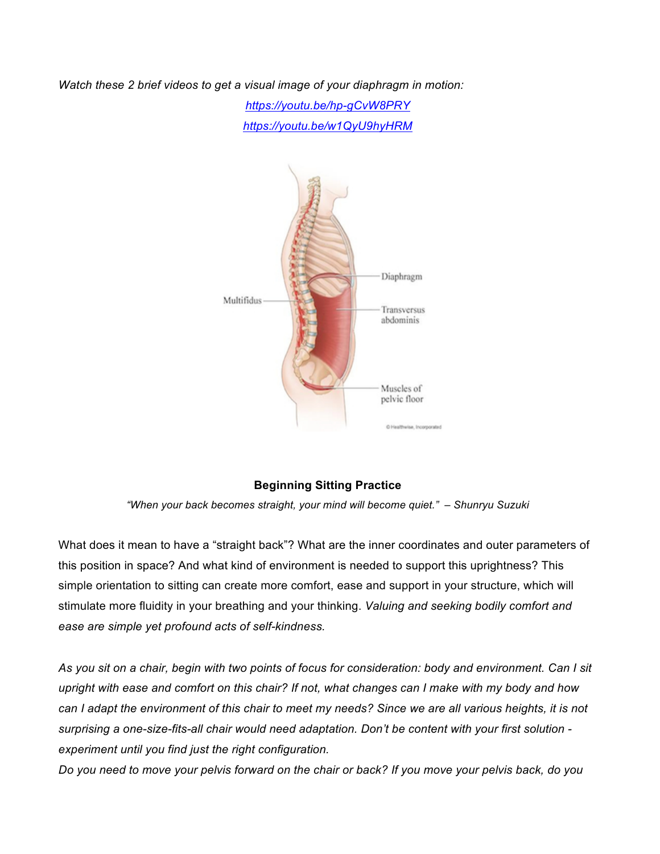*Watch these 2 brief videos to get a visual image of your diaphragm in motion:*

*https://youtu.be/hp-gCvW8PRY https://youtu.be/w1QyU9hyHRM*



# **Beginning Sitting Practice**

*"When your back becomes straight, your mind will become quiet." – Shunryu Suzuki*

What does it mean to have a "straight back"? What are the inner coordinates and outer parameters of this position in space? And what kind of environment is needed to support this uprightness? This simple orientation to sitting can create more comfort, ease and support in your structure, which will stimulate more fluidity in your breathing and your thinking. *Valuing and seeking bodily comfort and ease are simple yet profound acts of self-kindness.*

*As you sit on a chair, begin with two points of focus for consideration: body and environment. Can I sit upright with ease and comfort on this chair? If not, what changes can I make with my body and how can I adapt the environment of this chair to meet my needs? Since we are all various heights, it is not surprising a one-size-fits-all chair would need adaptation. Don't be content with your first solution experiment until you find just the right configuration.* 

*Do you need to move your pelvis forward on the chair or back? If you move your pelvis back, do you*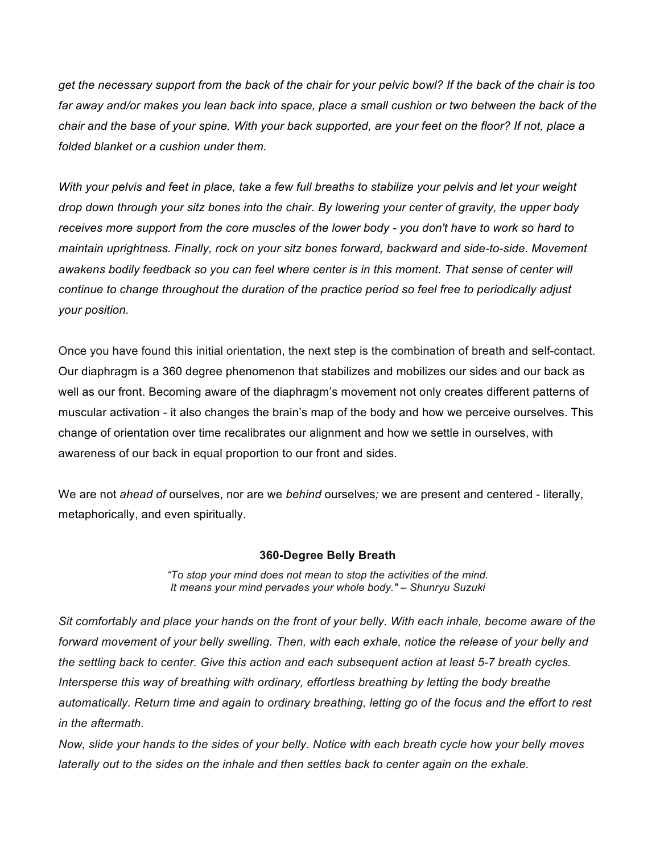*get the necessary support from the back of the chair for your pelvic bowl? If the back of the chair is too far away and/or makes you lean back into space, place a small cushion or two between the back of the chair and the base of your spine. With your back supported, are your feet on the floor? If not, place a folded blanket or a cushion under them.*

*With your pelvis and feet in place, take a few full breaths to stabilize your pelvis and let your weight drop down through your sitz bones into the chair. By lowering your center of gravity, the upper body receives more support from the core muscles of the lower body - you don't have to work so hard to maintain uprightness. Finally, rock on your sitz bones forward, backward and side-to-side. Movement awakens bodily feedback so you can feel where center is in this moment. That sense of center will continue to change throughout the duration of the practice period so feel free to periodically adjust your position.*

Once you have found this initial orientation, the next step is the combination of breath and self-contact. Our diaphragm is a 360 degree phenomenon that stabilizes and mobilizes our sides and our back as well as our front. Becoming aware of the diaphragm's movement not only creates different patterns of muscular activation - it also changes the brain's map of the body and how we perceive ourselves. This change of orientation over time recalibrates our alignment and how we settle in ourselves, with awareness of our back in equal proportion to our front and sides.

We are not *ahead of* ourselves, nor are we *behind* ourselves*;* we are present and centered - literally, metaphorically, and even spiritually.

### **360-Degree Belly Breath**

*"To stop your mind does not mean to stop the activities of the mind. It means your mind pervades your whole body." – Shunryu Suzuki*

*Sit comfortably and place your hands on the front of your belly. With each inhale, become aware of the forward movement of your belly swelling. Then, with each exhale, notice the release of your belly and the settling back to center. Give this action and each subsequent action at least 5-7 breath cycles. Intersperse this way of breathing with ordinary, effortless breathing by letting the body breathe automatically. Return time and again to ordinary breathing, letting go of the focus and the effort to rest in the aftermath.*

*Now, slide your hands to the sides of your belly. Notice with each breath cycle how your belly moves laterally out to the sides on the inhale and then settles back to center again on the exhale.*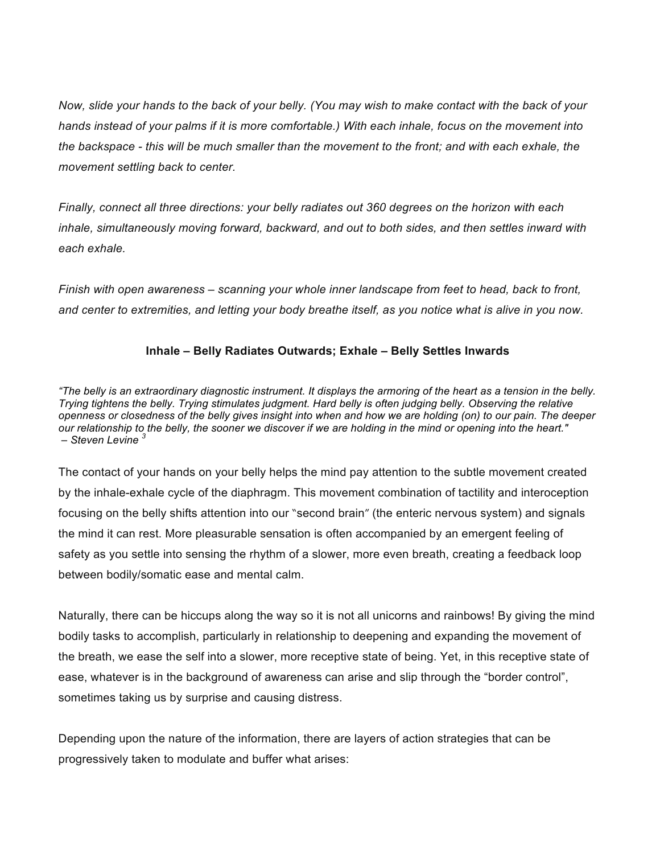*Now, slide your hands to the back of your belly. (You may wish to make contact with the back of your hands instead of your palms if it is more comfortable.) With each inhale, focus on the movement into the backspace - this will be much smaller than the movement to the front; and with each exhale, the movement settling back to center.*

*Finally, connect all three directions: your belly radiates out 360 degrees on the horizon with each inhale, simultaneously moving forward, backward, and out to both sides, and then settles inward with each exhale.* 

*Finish with open awareness – scanning your whole inner landscape from feet to head, back to front, and center to extremities, and letting your body breathe itself, as you notice what is alive in you now.*

## **Inhale – Belly Radiates Outwards; Exhale – Belly Settles Inwards**

*"The belly is an extraordinary diagnostic instrument. It displays the armoring of the heart as a tension in the belly. Trying tightens the belly. Trying stimulates judgment. Hard belly is often judging belly. Observing the relative openness or closedness of the belly gives insight into when and how we are holding (on) to our pain. The deeper our relationship to the belly, the sooner we discover if we are holding in the mind or opening into the heart." – Steven Levine <sup>3</sup>*

The contact of your hands on your belly helps the mind pay attention to the subtle movement created by the inhale-exhale cycle of the diaphragm. This movement combination of tactility and interoception focusing on the belly shifts attention into our "second brain" (the enteric nervous system) and signals the mind it can rest. More pleasurable sensation is often accompanied by an emergent feeling of safety as you settle into sensing the rhythm of a slower, more even breath, creating a feedback loop between bodily/somatic ease and mental calm.

Naturally, there can be hiccups along the way so it is not all unicorns and rainbows! By giving the mind bodily tasks to accomplish, particularly in relationship to deepening and expanding the movement of the breath, we ease the self into a slower, more receptive state of being. Yet, in this receptive state of ease, whatever is in the background of awareness can arise and slip through the "border control", sometimes taking us by surprise and causing distress.

Depending upon the nature of the information, there are layers of action strategies that can be progressively taken to modulate and buffer what arises: